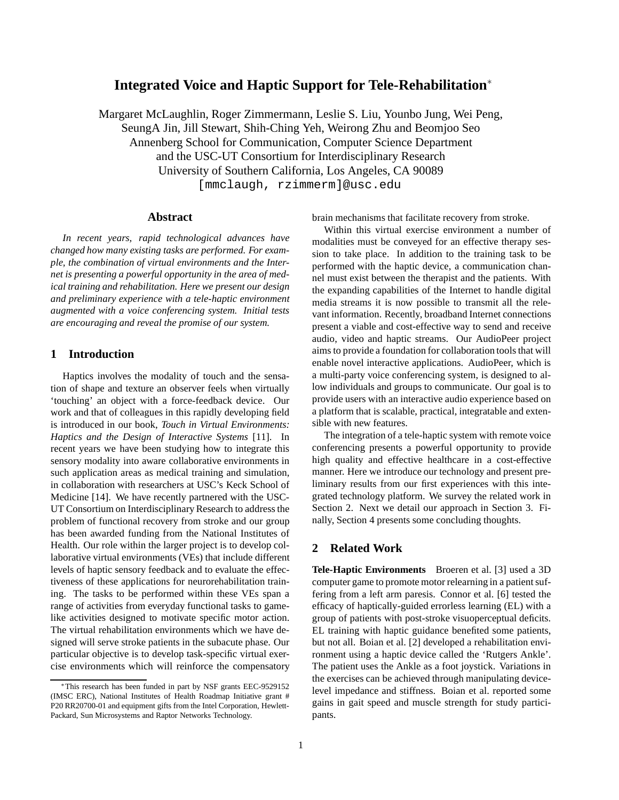# **Integrated Voice and Haptic Support for Tele-Rehabilitation**<sup>∗</sup>

Margaret McLaughlin, Roger Zimmermann, Leslie S. Liu, Younbo Jung, Wei Peng, SeungA Jin, Jill Stewart, Shih-Ching Yeh, Weirong Zhu and Beomjoo Seo Annenberg School for Communication, Computer Science Department and the USC-UT Consortium for Interdisciplinary Research University of Southern California, Los Angeles, CA 90089 [mmclaugh, rzimmerm]@usc.edu

# **Abstract**

*In recent years, rapid technological advances have changed how many existing tasks are performed. For example, the combination of virtual environments and the Internet is presenting a powerful opportunity in the area of medical training and rehabilitation. Here we present our design and preliminary experience with a tele-haptic environment augmented with a voice conferencing system. Initial tests are encouraging and reveal the promise of our system.*

# **1 Introduction**

Haptics involves the modality of touch and the sensation of shape and texture an observer feels when virtually 'touching' an object with a force-feedback device. Our work and that of colleagues in this rapidly developing field is introduced in our book, *Touch in Virtual Environments: Haptics and the Design of Interactive Systems* [11]. In recent years we have been studying how to integrate this sensory modality into aware collaborative environments in such application areas as medical training and simulation, in collaboration with researchers at USC's Keck School of Medicine [14]. We have recently partnered with the USC-UT Consortium on Interdisciplinary Research to address the problem of functional recovery from stroke and our group has been awarded funding from the National Institutes of Health. Our role within the larger project is to develop collaborative virtual environments (VEs) that include different levels of haptic sensory feedback and to evaluate the effectiveness of these applications for neurorehabilitation training. The tasks to be performed within these VEs span a range of activities from everyday functional tasks to gamelike activities designed to motivate specific motor action. The virtual rehabilitation environments which we have designed will serve stroke patients in the subacute phase. Our particular objective is to develop task-specific virtual exercise environments which will reinforce the compensatory

brain mechanisms that facilitate recovery from stroke.

Within this virtual exercise environment a number of modalities must be conveyed for an effective therapy session to take place. In addition to the training task to be performed with the haptic device, a communication channel must exist between the therapist and the patients. With the expanding capabilities of the Internet to handle digital media streams it is now possible to transmit all the relevant information. Recently, broadband Internet connections present a viable and cost-effective way to send and receive audio, video and haptic streams. Our AudioPeer project aims to provide a foundation for collaboration tools that will enable novel interactive applications. AudioPeer, which is a multi-party voice conferencing system, is designed to allow individuals and groups to communicate. Our goal is to provide users with an interactive audio experience based on a platform that is scalable, practical, integratable and extensible with new features.

The integration of a tele-haptic system with remote voice conferencing presents a powerful opportunity to provide high quality and effective healthcare in a cost-effective manner. Here we introduce our technology and present preliminary results from our first experiences with this integrated technology platform. We survey the related work in Section 2. Next we detail our approach in Section 3. Finally, Section 4 presents some concluding thoughts.

# **2 Related Work**

**Tele-Haptic Environments** Broeren et al. [3] used a 3D computer game to promote motor relearning in a patient suffering from a left arm paresis. Connor et al. [6] tested the efficacy of haptically-guided errorless learning (EL) with a group of patients with post-stroke visuoperceptual deficits. EL training with haptic guidance benefited some patients, but not all. Boian et al. [2] developed a rehabilitation environment using a haptic device called the 'Rutgers Ankle'. The patient uses the Ankle as a foot joystick. Variations in the exercises can be achieved through manipulating devicelevel impedance and stiffness. Boian et al. reported some gains in gait speed and muscle strength for study participants.

<sup>∗</sup>This research has been funded in part by NSF grants EEC-9529152 (IMSC ERC), National Institutes of Health Roadmap Initiative grant # P20 RR20700-01 and equipment gifts from the Intel Corporation, Hewlett-Packard, Sun Microsystems and Raptor Networks Technology.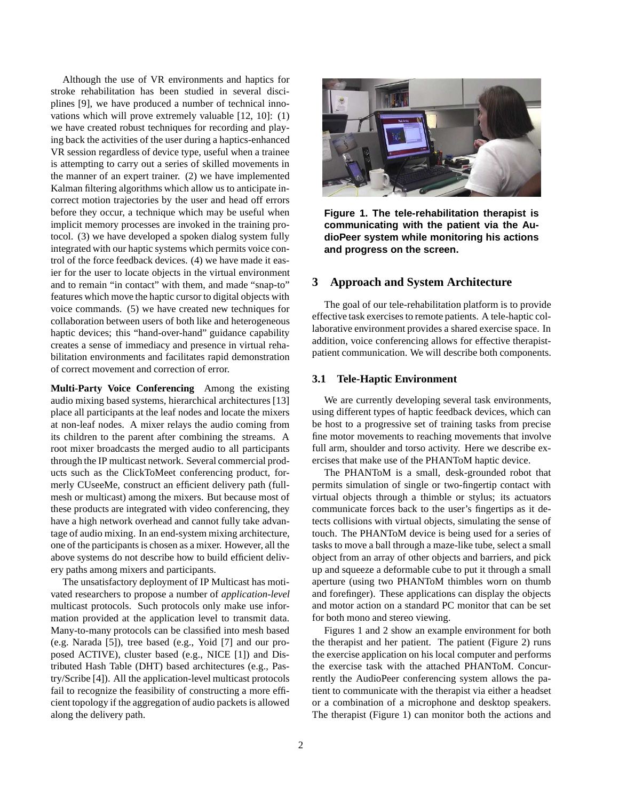Although the use of VR environments and haptics for stroke rehabilitation has been studied in several disciplines [9], we have produced a number of technical innovations which will prove extremely valuable [12, 10]: (1) we have created robust techniques for recording and playing back the activities of the user during a haptics-enhanced VR session regardless of device type, useful when a trainee is attempting to carry out a series of skilled movements in the manner of an expert trainer. (2) we have implemented Kalman filtering algorithms which allow us to anticipate incorrect motion trajectories by the user and head off errors before they occur, a technique which may be useful when implicit memory processes are invoked in the training protocol. (3) we have developed a spoken dialog system fully integrated with our haptic systems which permits voice control of the force feedback devices. (4) we have made it easier for the user to locate objects in the virtual environment and to remain "in contact" with them, and made "snap-to" features which move the haptic cursor to digital objects with voice commands. (5) we have created new techniques for collaboration between users of both like and heterogeneous haptic devices; this "hand-over-hand" guidance capability creates a sense of immediacy and presence in virtual rehabilitation environments and facilitates rapid demonstration of correct movement and correction of error.

**Multi-Party Voice Conferencing** Among the existing audio mixing based systems, hierarchical architectures [13] place all participants at the leaf nodes and locate the mixers at non-leaf nodes. A mixer relays the audio coming from its children to the parent after combining the streams. A root mixer broadcasts the merged audio to all participants through the IP multicast network. Several commercial products such as the ClickToMeet conferencing product, formerly CUseeMe, construct an efficient delivery path (fullmesh or multicast) among the mixers. But because most of these products are integrated with video conferencing, they have a high network overhead and cannot fully take advantage of audio mixing. In an end-system mixing architecture, one of the participants is chosen as a mixer. However, all the above systems do not describe how to build efficient delivery paths among mixers and participants.

The unsatisfactory deployment of IP Multicast has motivated researchers to propose a number of *application-level* multicast protocols. Such protocols only make use information provided at the application level to transmit data. Many-to-many protocols can be classified into mesh based (e.g. Narada [5]), tree based (e.g., Yoid [7] and our proposed ACTIVE), cluster based (e.g., NICE [1]) and Distributed Hash Table (DHT) based architectures (e.g., Pastry/Scribe [4]). All the application-level multicast protocols fail to recognize the feasibility of constructing a more efficient topology if the aggregation of audio packets is allowed along the delivery path.



**Figure 1. The tele-rehabilitation therapist is communicating with the patient via the AudioPeer system while monitoring his actions and progress on the screen.**

# **3 Approach and System Architecture**

The goal of our tele-rehabilitation platform is to provide effective task exercises to remote patients. A tele-haptic collaborative environment provides a shared exercise space. In addition, voice conferencing allows for effective therapistpatient communication. We will describe both components.

#### **3.1 Tele-Haptic Environment**

We are currently developing several task environments, using different types of haptic feedback devices, which can be host to a progressive set of training tasks from precise fine motor movements to reaching movements that involve full arm, shoulder and torso activity. Here we describe exercises that make use of the PHANToM haptic device.

The PHANToM is a small, desk-grounded robot that permits simulation of single or two-fingertip contact with virtual objects through a thimble or stylus; its actuators communicate forces back to the user's fingertips as it detects collisions with virtual objects, simulating the sense of touch. The PHANToM device is being used for a series of tasks to move a ball through a maze-like tube, select a small object from an array of other objects and barriers, and pick up and squeeze a deformable cube to put it through a small aperture (using two PHANToM thimbles worn on thumb and forefinger). These applications can display the objects and motor action on a standard PC monitor that can be set for both mono and stereo viewing.

Figures 1 and 2 show an example environment for both the therapist and her patient. The patient (Figure 2) runs the exercise application on his local computer and performs the exercise task with the attached PHANToM. Concurrently the AudioPeer conferencing system allows the patient to communicate with the therapist via either a headset or a combination of a microphone and desktop speakers. The therapist (Figure 1) can monitor both the actions and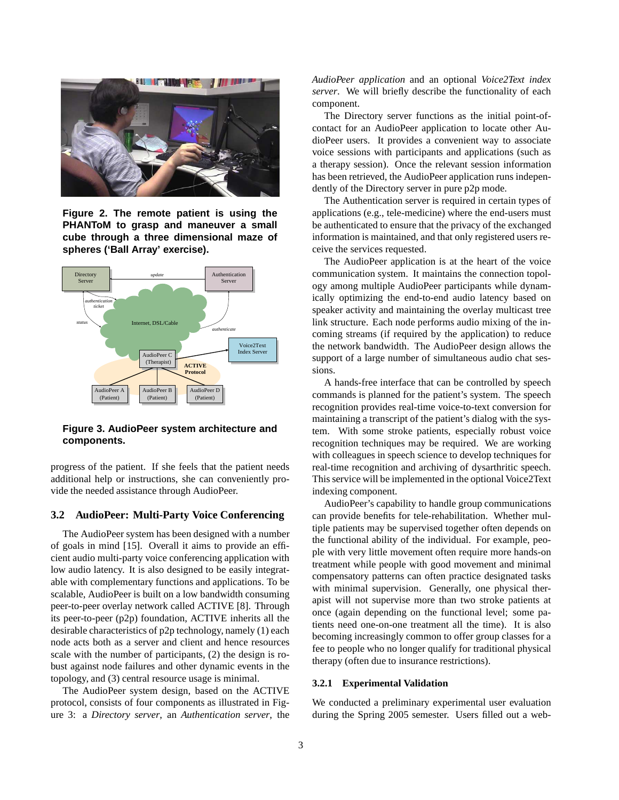

**Figure 2. The remote patient is using the PHANToM to grasp and maneuver a small cube through a three dimensional maze of spheres ('Ball Array' exercise).**



#### **Figure 3. AudioPeer system architecture and components.**

progress of the patient. If she feels that the patient needs additional help or instructions, she can conveniently provide the needed assistance through AudioPeer.

### **3.2 AudioPeer: Multi-Party Voice Conferencing**

The AudioPeer system has been designed with a number of goals in mind [15]. Overall it aims to provide an efficient audio multi-party voice conferencing application with low audio latency. It is also designed to be easily integratable with complementary functions and applications. To be scalable, AudioPeer is built on a low bandwidth consuming peer-to-peer overlay network called ACTIVE [8]. Through its peer-to-peer (p2p) foundation, ACTIVE inherits all the desirable characteristics of p2p technology, namely (1) each node acts both as a server and client and hence resources scale with the number of participants, (2) the design is robust against node failures and other dynamic events in the topology, and (3) central resource usage is minimal.

The AudioPeer system design, based on the ACTIVE protocol, consists of four components as illustrated in Figure 3: a *Directory server*, an *Authentication server*, the *AudioPeer application* and an optional *Voice2Text index server*. We will briefly describe the functionality of each component.

The Directory server functions as the initial point-ofcontact for an AudioPeer application to locate other AudioPeer users. It provides a convenient way to associate voice sessions with participants and applications (such as a therapy session). Once the relevant session information has been retrieved, the AudioPeer application runs independently of the Directory server in pure p2p mode.

The Authentication server is required in certain types of applications (e.g., tele-medicine) where the end-users must be authenticated to ensure that the privacy of the exchanged information is maintained, and that only registered users receive the services requested.

The AudioPeer application is at the heart of the voice communication system. It maintains the connection topology among multiple AudioPeer participants while dynamically optimizing the end-to-end audio latency based on speaker activity and maintaining the overlay multicast tree link structure. Each node performs audio mixing of the incoming streams (if required by the application) to reduce the network bandwidth. The AudioPeer design allows the support of a large number of simultaneous audio chat sessions.

A hands-free interface that can be controlled by speech commands is planned for the patient's system. The speech recognition provides real-time voice-to-text conversion for maintaining a transcript of the patient's dialog with the system. With some stroke patients, especially robust voice recognition techniques may be required. We are working with colleagues in speech science to develop techniques for real-time recognition and archiving of dysarthritic speech. This service will be implemented in the optional Voice2Text indexing component.

AudioPeer's capability to handle group communications can provide benefits for tele-rehabilitation. Whether multiple patients may be supervised together often depends on the functional ability of the individual. For example, people with very little movement often require more hands-on treatment while people with good movement and minimal compensatory patterns can often practice designated tasks with minimal supervision. Generally, one physical therapist will not supervise more than two stroke patients at once (again depending on the functional level; some patients need one-on-one treatment all the time). It is also becoming increasingly common to offer group classes for a fee to people who no longer qualify for traditional physical therapy (often due to insurance restrictions).

#### **3.2.1 Experimental Validation**

We conducted a preliminary experimental user evaluation during the Spring 2005 semester. Users filled out a web-